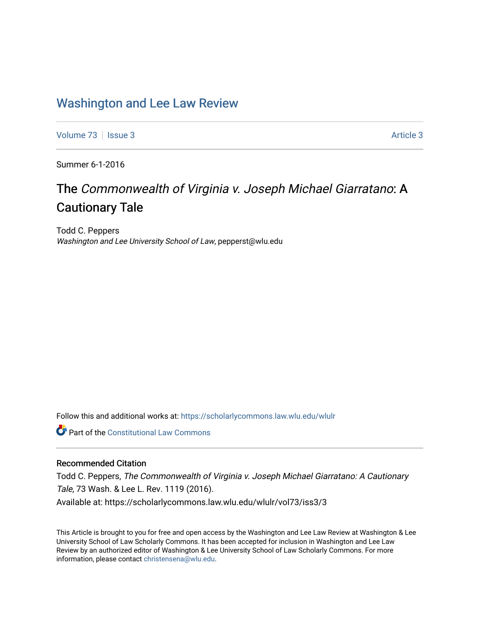### [Washington and Lee Law Review](https://scholarlycommons.law.wlu.edu/wlulr)

[Volume 73](https://scholarlycommons.law.wlu.edu/wlulr/vol73) | [Issue 3](https://scholarlycommons.law.wlu.edu/wlulr/vol73/iss3) Article 3

Summer 6-1-2016

# The Commonwealth of Virginia v. Joseph Michael Giarratano: A Cautionary Tale

Todd C. Peppers Washington and Lee University School of Law, pepperst@wlu.edu

Follow this and additional works at: [https://scholarlycommons.law.wlu.edu/wlulr](https://scholarlycommons.law.wlu.edu/wlulr?utm_source=scholarlycommons.law.wlu.edu%2Fwlulr%2Fvol73%2Fiss3%2F3&utm_medium=PDF&utm_campaign=PDFCoverPages) 

**Part of the Constitutional Law Commons** 

### Recommended Citation

Todd C. Peppers, The Commonwealth of Virginia v. Joseph Michael Giarratano: A Cautionary Tale, 73 Wash. & Lee L. Rev. 1119 (2016). Available at: https://scholarlycommons.law.wlu.edu/wlulr/vol73/iss3/3

This Article is brought to you for free and open access by the Washington and Lee Law Review at Washington & Lee University School of Law Scholarly Commons. It has been accepted for inclusion in Washington and Lee Law Review by an authorized editor of Washington & Lee University School of Law Scholarly Commons. For more information, please contact [christensena@wlu.edu](mailto:christensena@wlu.edu).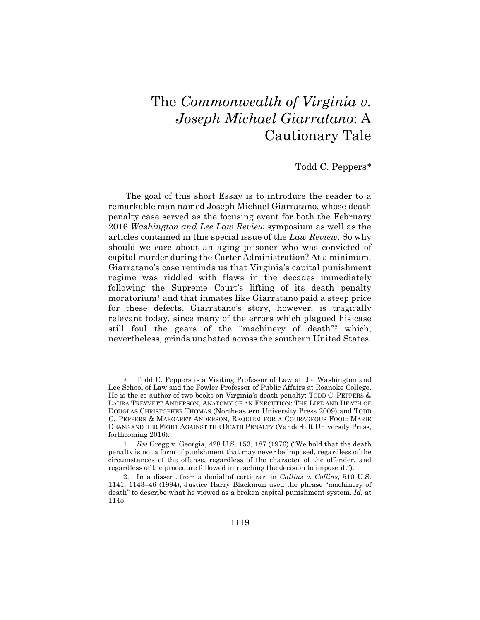# The *Commonwealth of Virginia v. Joseph Michael Giarratano*: A Cautionary Tale

#### Todd C. Peppers[∗](#page-1-0)

The goal of this short Essay is to introduce the reader to a remarkable man named Joseph Michael Giarratano, whose death penalty case served as the focusing event for both the February 2016 *Washington and Lee Law Review* symposium as well as the articles contained in this special issue of the *Law Review*. So why should we care about an aging prisoner who was convicted of capital murder during the Carter Administration? At a minimum, Giarratano's case reminds us that Virginia's capital punishment regime was riddled with flaws in the decades immediately following the Supreme Court's lifting of its death penalty moratorium<sup>[1](#page-1-1)</sup> and that inmates like Giarratano paid a steep price for these defects. Giarratano's story, however, is tragically relevant today, since many of the errors which plagued his case still foul the gears of the "machinery of death"[2](#page-1-2) which, nevertheless, grinds unabated across the southern United States.

 $\overline{a}$ 

<span id="page-1-0"></span>Todd C. Peppers is a Visiting Professor of Law at the Washington and Lee School of Law and the Fowler Professor of Public Affairs at Roanoke College. He is the co-author of two books on Virginia's death penalty: TODD C. PEPPERS & LAURA TREVVETT ANDERSON, ANATOMY OF AN EXECUTION: THE LIFE AND DEATH OF DOUGLAS CHRISTOPHER THOMAS (Northeastern University Press 2009) and TODD C. PEPPERS & MARGARET ANDERSON, REQUIEM FOR A COURAGEOUS FOOL: MARIE DEANS AND HER FIGHT AGAINST THE DEATH PENALTY (Vanderbilt University Press, forthcoming 2016).

<span id="page-1-1"></span><sup>1.</sup> *See* Gregg v. Georgia, 428 U.S. 153, 187 (1976) ("We hold that the death penalty is not a form of punishment that may never be imposed, regardless of the circumstances of the offense, regardless of the character of the offender, and regardless of the procedure followed in reaching the decision to impose it.").

<span id="page-1-2"></span><sup>2.</sup> In a dissent from a denial of certiorari in *Callins v. Collins*, 510 U.S. 1141, 1143–46 (1994), Justice Harry Blackmun used the phrase "machinery of death" to describe what he viewed as a broken capital punishment system. *Id.* at 1145.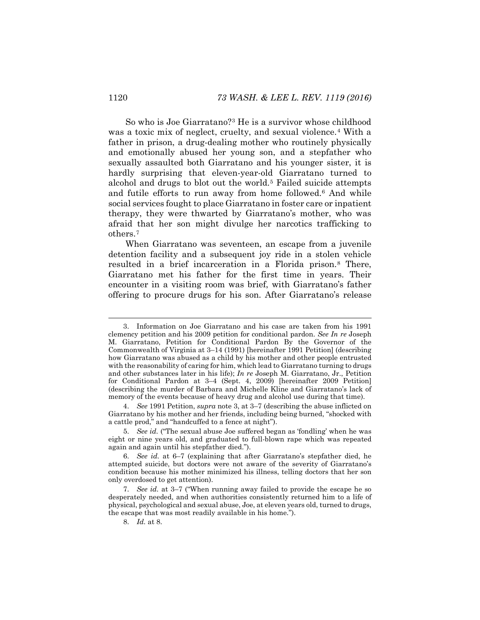<span id="page-2-0"></span>So who is Joe Giarratano?[3](#page-2-1) He is a survivor whose childhood was a toxic mix of neglect, cruelty, and sexual violence.<sup>[4](#page-2-2)</sup> With a father in prison, a drug-dealing mother who routinely physically and emotionally abused her young son, and a stepfather who sexually assaulted both Giarratano and his younger sister, it is hardly surprising that eleven-year-old Giarratano turned to alcohol and drugs to blot out the world.<sup>[5](#page-2-3)</sup> Failed suicide attempts and futile efforts to run away from home followed.[6](#page-2-4) And while social services fought to place Giarratano in foster care or inpatient therapy, they were thwarted by Giarratano's mother, who was afraid that her son might divulge her narcotics trafficking to others.[7](#page-2-5)

When Giarratano was seventeen, an escape from a juvenile detention facility and a subsequent joy ride in a stolen vehicle resulted in a brief incarceration in a Florida prison.[8](#page-2-6) There, Giarratano met his father for the first time in years. Their encounter in a visiting room was brief, with Giarratano's father offering to procure drugs for his son. After Giarratano's release

<span id="page-2-1"></span> <sup>3.</sup> Information on Joe Giarratano and his case are taken from his 1991 clemency petition and his 2009 petition for conditional pardon. *See In re* Joseph M. Giarratano, Petition for Conditional Pardon By the Governor of the Commonwealth of Virginia at 3–14 (1991) [hereinafter 1991 Petition] (describing how Giarratano was abused as a child by his mother and other people entrusted with the reasonability of caring for him, which lead to Giarratano turning to drugs and other substances later in his life); *In re* Joseph M. Giarratano, Jr., Petition for Conditional Pardon at 3–4 (Sept. 4, 2009) [hereinafter 2009 Petition] (describing the murder of Barbara and Michelle Kline and Giarratano's lack of memory of the events because of heavy drug and alcohol use during that time).

<span id="page-2-2"></span><sup>4.</sup> *See* 1991 Petition, *supra* note [3,](#page-2-0) at 3–7 (describing the abuse inflicted on Giarratano by his mother and her friends, including being burned, "shocked with a cattle prod," and "handcuffed to a fence at night").

<span id="page-2-3"></span><sup>5.</sup> *See id.* ("The sexual abuse Joe suffered began as 'fondling' when he was eight or nine years old, and graduated to full-blown rape which was repeated again and again until his stepfather died.").

<span id="page-2-4"></span><sup>6.</sup> *See id.* at 6–7 (explaining that after Giarratano's stepfather died, he attempted suicide, but doctors were not aware of the severity of Giarratano's condition because his mother minimized his illness, telling doctors that her son only overdosed to get attention).

<span id="page-2-6"></span><span id="page-2-5"></span><sup>7.</sup> *See id.* at 3–7 ("When running away failed to provide the escape he so desperately needed, and when authorities consistently returned him to a life of physical, psychological and sexual abuse, Joe, at eleven years old, turned to drugs, the escape that was most readily available in his home.").

<sup>8.</sup> *Id.* at 8.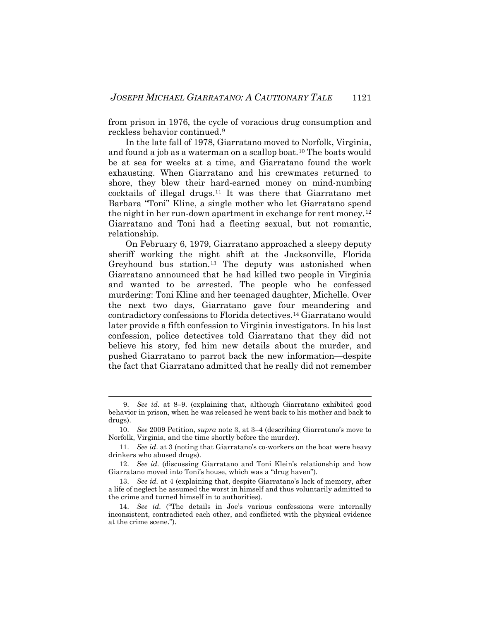from prison in 1976, the cycle of voracious drug consumption and reckless behavior continued.[9](#page-3-0)

In the late fall of 1978, Giarratano moved to Norfolk, Virginia, and found a job as a waterman on a scallop boat.[10](#page-3-1) The boats would be at sea for weeks at a time, and Giarratano found the work exhausting. When Giarratano and his crewmates returned to shore, they blew their hard-earned money on mind-numbing cocktails of illegal drugs.[11](#page-3-2) It was there that Giarratano met Barbara "Toni" Kline, a single mother who let Giarratano spend the night in her run-down apartment in exchange for rent money.<sup>[12](#page-3-3)</sup> Giarratano and Toni had a fleeting sexual, but not romantic, relationship.

On February 6, 1979, Giarratano approached a sleepy deputy sheriff working the night shift at the Jacksonville, Florida Greyhound bus station.[13](#page-3-4) The deputy was astonished when Giarratano announced that he had killed two people in Virginia and wanted to be arrested. The people who he confessed murdering: Toni Kline and her teenaged daughter, Michelle. Over the next two days, Giarratano gave four meandering and contradictory confessions to Florida detectives.[14](#page-3-5) Giarratano would later provide a fifth confession to Virginia investigators. In his last confession, police detectives told Giarratano that they did not believe his story, fed him new details about the murder, and pushed Giarratano to parrot back the new information—despite the fact that Giarratano admitted that he really did not remember

<span id="page-3-0"></span> <sup>9.</sup> *See id*. at 8–9. (explaining that, although Giarratano exhibited good behavior in prison, when he was released he went back to his mother and back to drugs).

<span id="page-3-1"></span><sup>10.</sup> *See* 2009 Petition, *supra* note [3,](#page-2-0) at 3–4 (describing Giarratano's move to Norfolk, Virginia, and the time shortly before the murder).

<span id="page-3-2"></span><sup>11.</sup> *See id*. at [3](#page-2-0) (noting that Giarratano's co-workers on the boat were heavy drinkers who abused drugs).

<span id="page-3-3"></span><sup>12.</sup> *See id*. (discussing Giarratano and Toni Klein's relationship and how Giarratano moved into Toni's house, which was a "drug haven").

<span id="page-3-4"></span><sup>13.</sup> *See id.* at 4 (explaining that, despite Giarratano's lack of memory, after a life of neglect he assumed the worst in himself and thus voluntarily admitted to the crime and turned himself in to authorities).

<span id="page-3-5"></span><sup>14.</sup> *See id.* ("The details in Joe's various confessions were internally inconsistent, contradicted each other, and conflicted with the physical evidence at the crime scene.").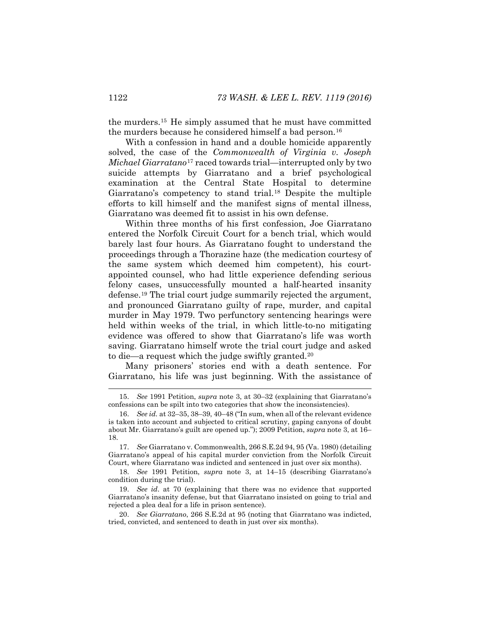the murders.[15](#page-4-0) He simply assumed that he must have committed the murders because he considered himself a bad person.[16](#page-4-1)

With a confession in hand and a double homicide apparently solved, the case of the *Commonwealth of Virginia v. Joseph Michael Giarratano*[17](#page-4-2) raced towards trial—interrupted only by two suicide attempts by Giarratano and a brief psychological examination at the Central State Hospital to determine Giarratano's competency to stand trial.[18](#page-4-3) Despite the multiple efforts to kill himself and the manifest signs of mental illness, Giarratano was deemed fit to assist in his own defense.

Within three months of his first confession, Joe Giarratano entered the Norfolk Circuit Court for a bench trial, which would barely last four hours. As Giarratano fought to understand the proceedings through a Thorazine haze (the medication courtesy of the same system which deemed him competent), his courtappointed counsel, who had little experience defending serious felony cases, unsuccessfully mounted a half-hearted insanity defense.[19](#page-4-4) The trial court judge summarily rejected the argument, and pronounced Giarratano guilty of rape, murder, and capital murder in May 1979. Two perfunctory sentencing hearings were held within weeks of the trial, in which little-to-no mitigating evidence was offered to show that Giarratano's life was worth saving. Giarratano himself wrote the trial court judge and asked to die—a request which the judge swiftly granted.[20](#page-4-5)

Many prisoners' stories end with a death sentence. For Giarratano, his life was just beginning. With the assistance of

<span id="page-4-3"></span>18. *See* 1991 Petition, *supra* note [3,](#page-2-0) at 14–15 (describing Giarratano's condition during the trial).

<span id="page-4-4"></span>19. *See id*. at 70 (explaining that there was no evidence that supported Giarratano's insanity defense, but that Giarratano insisted on going to trial and rejected a plea deal for a life in prison sentence).

<span id="page-4-5"></span>20. *See Giarratano*, 266 S.E.2d at 95 (noting that Giarratano was indicted, tried, convicted, and sentenced to death in just over six months).

<span id="page-4-0"></span> <sup>15.</sup> *See* 1991 Petition, *supra* note [3,](#page-2-0) at 30–32 (explaining that Giarratano's confessions can be spilt into two categories that show the inconsistencies).

<span id="page-4-1"></span><sup>16.</sup> *See id.* at 32–35, 38–39, 40–48 ("In sum, when all of the relevant evidence is taken into account and subjected to critical scrutiny, gaping canyons of doubt about Mr. Giarratano's guilt are opened up."); 2009 Petition, *supra* note [3,](#page-2-0) at 16– 18.

<span id="page-4-2"></span><sup>17.</sup> *See* Giarratano v. Commonwealth, 266 S.E.2d 94, 95 (Va. 1980) (detailing Giarratano's appeal of his capital murder conviction from the Norfolk Circuit Court, where Giarratano was indicted and sentenced in just over six months).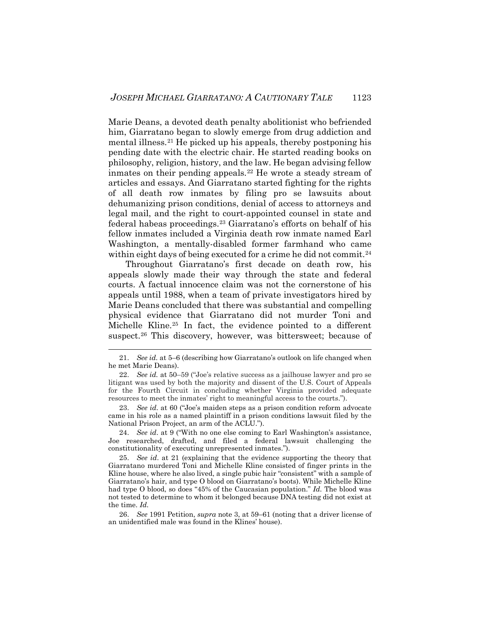Marie Deans, a devoted death penalty abolitionist who befriended him, Giarratano began to slowly emerge from drug addiction and mental illness.[21](#page-5-0) He picked up his appeals, thereby postponing his pending date with the electric chair. He started reading books on philosophy, religion, history, and the law. He began advising fellow inmates on their pending appeals.<sup>[22](#page-5-1)</sup> He wrote a steady stream of articles and essays. And Giarratano started fighting for the rights of all death row inmates by filing pro se lawsuits about dehumanizing prison conditions, denial of access to attorneys and legal mail, and the right to court-appointed counsel in state and federal habeas proceedings.[23](#page-5-2) Giarratano's efforts on behalf of his fellow inmates included a Virginia death row inmate named Earl Washington, a mentally-disabled former farmhand who came within eight days of being executed for a crime he did not commit.<sup>[24](#page-5-3)</sup>

Throughout Giarratano's first decade on death row, his appeals slowly made their way through the state and federal courts. A factual innocence claim was not the cornerstone of his appeals until 1988, when a team of private investigators hired by Marie Deans concluded that there was substantial and compelling physical evidence that Giarratano did not murder Toni and Michelle Kline.[25](#page-5-4) In fact, the evidence pointed to a different suspect.<sup>[26](#page-5-5)</sup> This discovery, however, was bittersweet; because of

<span id="page-5-2"></span>23. *See id*. at 60 ("Joe's maiden steps as a prison condition reform advocate came in his role as a named plaintiff in a prison conditions lawsuit filed by the National Prison Project, an arm of the ACLU.").

<span id="page-5-3"></span>24. *See id*. at 9 ("With no one else coming to Earl Washington's assistance, Joe researched, drafted, and filed a federal lawsuit challenging the constitutionality of executing unrepresented inmates.").

<span id="page-5-4"></span>25. *See id*. at 21 (explaining that the evidence supporting the theory that Giarratano murdered Toni and Michelle Kline consisted of finger prints in the Kline house, where he also lived, a single pubic hair "consistent" with a sample of Giarratano's hair, and type O blood on Giarratano's boots). While Michelle Kline had type O blood, so does "45% of the Caucasian population." *Id.* The blood was not tested to determine to whom it belonged because DNA testing did not exist at the time. *Id.*

<span id="page-5-5"></span>26. *See* 1991 Petition, *supra* not[e 3,](#page-2-0) at 59–61 (noting that a driver license of an unidentified male was found in the Klines' house).

<span id="page-5-0"></span> <sup>21.</sup> *See id.* at 5–6 (describing how Giarratano's outlook on life changed when he met Marie Deans).

<span id="page-5-1"></span><sup>22.</sup> *See id.* at 50–59 ("Joe's relative success as a jailhouse lawyer and pro se litigant was used by both the majority and dissent of the U.S. Court of Appeals for the Fourth Circuit in concluding whether Virginia provided adequate resources to meet the inmates' right to meaningful access to the courts.").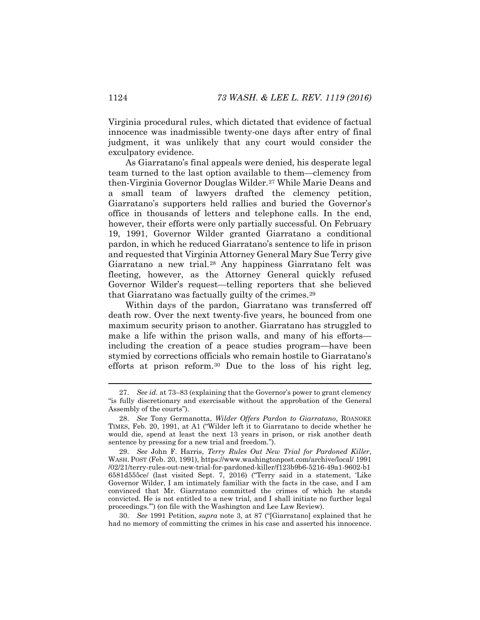Virginia procedural rules, which dictated that evidence of factual innocence was inadmissible twenty-one days after entry of final judgment, it was unlikely that any court would consider the exculpatory evidence.

As Giarratano's final appeals were denied, his desperate legal team turned to the last option available to them—clemency from then-Virginia Governor Douglas Wilder.[27](#page-6-0) While Marie Deans and a small team of lawyers drafted the clemency petition, Giarratano's supporters held rallies and buried the Governor's office in thousands of letters and telephone calls. In the end, however, their efforts were only partially successful. On February 19, 1991, Governor Wilder granted Giarratano a conditional pardon, in which he reduced Giarratano's sentence to life in prison and requested that Virginia Attorney General Mary Sue Terry give Giarratano a new trial.[28](#page-6-1) Any happiness Giarratano felt was fleeting, however, as the Attorney General quickly refused Governor Wilder's request—telling reporters that she believed that Giarratano was factually guilty of the crimes.<sup>[29](#page-6-2)</sup>

Within days of the pardon, Giarratano was transferred off death row. Over the next twenty-five years, he bounced from one maximum security prison to another. Giarratano has struggled to make a life within the prison walls, and many of his efforts including the creation of a peace studies program—have been stymied by corrections officials who remain hostile to Giarratano's efforts at prison reform.[30](#page-6-3) Due to the loss of his right leg,

<span id="page-6-3"></span>30. *See* 1991 Petition, *supra* note [3,](#page-2-0) at 87 ("[Giarratano] explained that he had no memory of committing the crimes in his case and asserted his innocence.

<span id="page-6-0"></span> <sup>27.</sup> *See id.* at 73–83 (explaining that the Governor's power to grant clemency "is fully discretionary and exercisable without the approbation of the General Assembly of the courts").

<span id="page-6-1"></span><sup>28.</sup> *See* Tony Germanotta, *Wilder Offers Pardon to Giarratano*, ROANOKE TIMES, Feb. 20, 1991, at A1 ("Wilder left it to Giarratano to decide whether he would die, spend at least the next 13 years in prison, or risk another death sentence by pressing for a new trial and freedom.").

<span id="page-6-2"></span><sup>29.</sup> *See* John F. Harris, *Terry Rules Out New Trial for Pardoned Killer*, WASH. POST (Feb. 20, 1991), https://www.washingtonpost.com/archive/local/ 1991 /02/21/terry-rules-out-new-trial-for-pardoned-killer/f123b9b6-5216-49a1-9602-b1 6581d555ce/ (last visited Sept. 7, 2016) ("Terry said in a statement, 'Like Governor Wilder, I am intimately familiar with the facts in the case, and I am convinced that Mr. Giarratano committed the crimes of which he stands convicted. He is not entitled to a new trial, and I shall initiate no further legal proceedings.'") (on file with the Washington and Lee Law Review).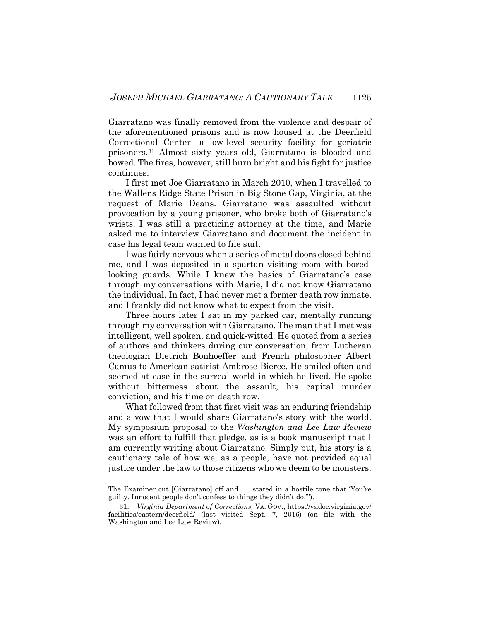Giarratano was finally removed from the violence and despair of the aforementioned prisons and is now housed at the Deerfield Correctional Center—a low-level security facility for geriatric prisoners.[31](#page-7-0) Almost sixty years old, Giarratano is blooded and bowed. The fires, however, still burn bright and his fight for justice continues.

I first met Joe Giarratano in March 2010, when I travelled to the Wallens Ridge State Prison in Big Stone Gap, Virginia, at the request of Marie Deans. Giarratano was assaulted without provocation by a young prisoner, who broke both of Giarratano's wrists. I was still a practicing attorney at the time, and Marie asked me to interview Giarratano and document the incident in case his legal team wanted to file suit.

I was fairly nervous when a series of metal doors closed behind me, and I was deposited in a spartan visiting room with boredlooking guards. While I knew the basics of Giarratano's case through my conversations with Marie, I did not know Giarratano the individual. In fact, I had never met a former death row inmate, and I frankly did not know what to expect from the visit.

Three hours later I sat in my parked car, mentally running through my conversation with Giarratano. The man that I met was intelligent, well spoken, and quick-witted. He quoted from a series of authors and thinkers during our conversation, from Lutheran theologian Dietrich Bonhoeffer and French philosopher Albert Camus to American satirist Ambrose Bierce. He smiled often and seemed at ease in the surreal world in which he lived. He spoke without bitterness about the assault, his capital murder conviction, and his time on death row.

What followed from that first visit was an enduring friendship and a vow that I would share Giarratano's story with the world. My symposium proposal to the *Washington and Lee Law Review* was an effort to fulfill that pledge, as is a book manuscript that I am currently writing about Giarratano. Simply put, his story is a cautionary tale of how we, as a people, have not provided equal justice under the law to those citizens who we deem to be monsters.

The Examiner cut [Giarratano] off and . . . stated in a hostile tone that 'You're guilty. Innocent people don't confess to things they didn't do.'").

<span id="page-7-0"></span><sup>31.</sup> *Virginia Department of Corrections,* VA. GOV., https://vadoc.virginia.gov/ facilities/eastern/deerfield/ (last visited Sept. 7, 2016) (on file with the Washington and Lee Law Review).